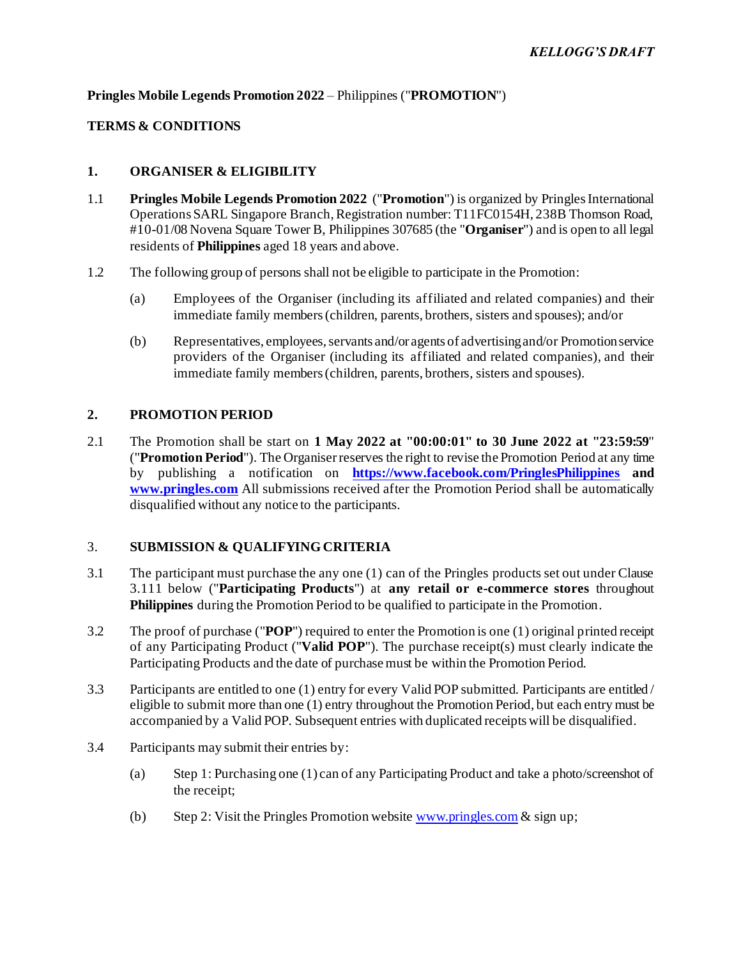## **Pringles Mobile Legends Promotion 2022** – Philippines ("**PROMOTION**")

# **TERMS & CONDITIONS**

## **1. ORGANISER & ELIGIBILITY**

- 1.1 **Pringles Mobile Legends Promotion 2022** ("**Promotion**") is organized by Pringles International Operations SARL Singapore Branch, Registration number: T11FC0154H, 238B Thomson Road, #10-01/08 Novena Square Tower B, Philippines 307685 (the "**Organiser**") and is open to all legal residents of **Philippines** aged 18 years and above.
- 1.2 The following group of persons shall not be eligible to participate in the Promotion:
	- (a) Employees of the Organiser (including its affiliated and related companies) and their immediate family members (children, parents, brothers, sisters and spouses); and/or
	- (b) Representatives, employees, servants and/or agents of advertising and/or Promotionservice providers of the Organiser (including its affiliated and related companies), and their immediate family members (children, parents, brothers, sisters and spouses).

## **2. PROMOTION PERIOD**

2.1 The Promotion shall be start on **1 May 2022 at "00:00:01" to 30 June 2022 at "23:59:59**" ("**Promotion Period**"). The Organiserreserves the right to revise the Promotion Period at any time by publishing a notification on **<https://www.facebook.com/PringlesPhilippines> and [www.pringles.com](http://www.pringles.com/)** All submissions received after the Promotion Period shall be automatically disqualified without any notice to the participants.

# 3. **SUBMISSION & QUALIFYING CRITERIA**

- 3.1 The participant must purchase the any one (1) can of the Pringles products set out under Clause [3.111](#page-1-0) below ("**Participating Products**") at **any retail or e-commerce stores** throughout **Philippines** during the Promotion Period to be qualified to participate in the Promotion.
- 3.2 The proof of purchase ("**POP**") required to enter the Promotion is one (1) original printed receipt of any Participating Product ("**Valid POP**"). The purchase receipt(s) must clearly indicate the Participating Products and the date of purchase must be within the Promotion Period.
- 3.3 Participants are entitled to one (1) entry for every Valid POP submitted. Participants are entitled / eligible to submit more than one (1) entry throughout the Promotion Period, but each entry must be accompanied by a Valid POP. Subsequent entries with duplicated receipts will be disqualified.
- 3.4 Participants may submit their entries by:
	- (a) Step 1: Purchasing one (1) can of any Participating Product and take a photo/screenshot of the receipt;
	- (b) Step 2: Visit the Pringles Promotion websit[e www.pringles.com](http://www.pringles.com/)  $\&$  sign up;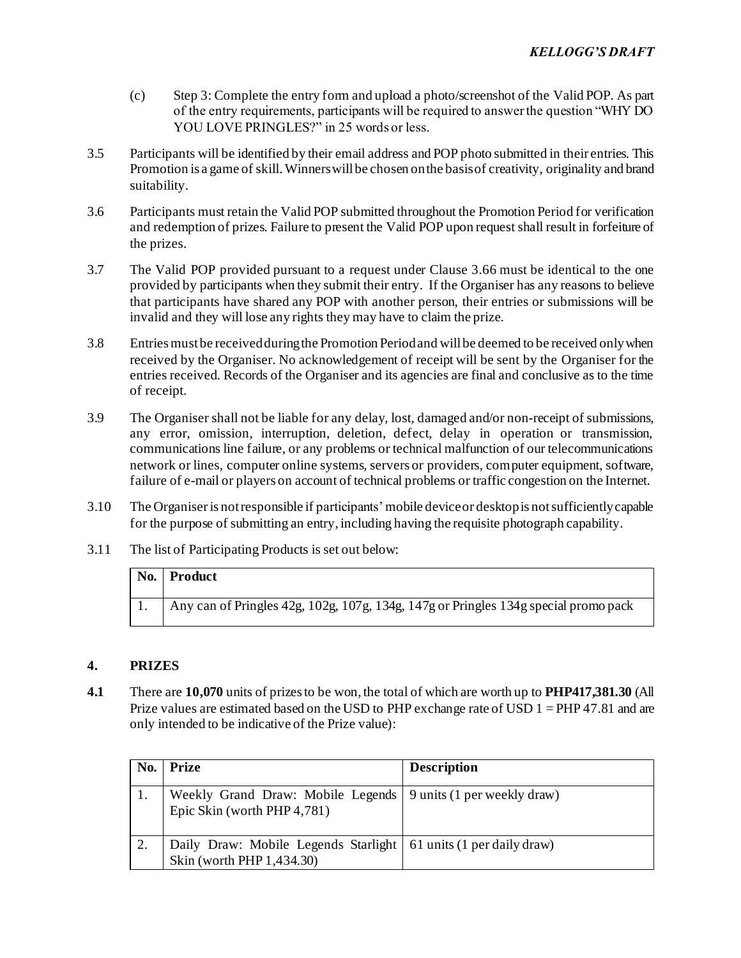- (c) Step 3: Complete the entry form and upload a photo/screenshot of the Valid POP. As part of the entry requirements, participants will be required to answer the question "WHY DO YOU LOVE PRINGLES?" in 25 words or less.
- 3.5 Participants will be identified by their email address and POP photo submitted in their entries. This Promotion is a game of skill. Winners will be chosen on the basis of creativity, originality and brand suitability.
- <span id="page-1-1"></span>3.6 Participants must retain the Valid POP submitted throughout the Promotion Period for verification and redemption of prizes. Failure to present the Valid POP upon request shall result in forfeiture of the prizes.
- 3.7 The Valid POP provided pursuant to a request under Claus[e 3.6](#page-1-1)6 must be identical to the one provided by participants when they submit their entry. If the Organiser has any reasons to believe that participants have shared any POP with another person, their entries or submissions will be invalid and they will lose any rights they may have to claim the prize.
- 3.8 Entries must be received during the Promotion Period and will be deemed to be received only when received by the Organiser. No acknowledgement of receipt will be sent by the Organiser for the entries received. Records of the Organiser and its agencies are final and conclusive as to the time of receipt.
- 3.9 The Organiser shall not be liable for any delay, lost, damaged and/or non-receipt of submissions, any error, omission, interruption, deletion, defect, delay in operation or transmission, communications line failure, or any problems or technical malfunction of our telecommunications network or lines, computer online systems, servers or providers, computer equipment, software, failure of e-mail or players on account of technical problems or traffic congestion on the Internet.
- 3.10 The Organiseris not responsible if participants' mobile device or desktop is not sufficiently capable for the purpose of submitting an entry, including having the requisite photograph capability.
- <span id="page-1-0"></span>3.11 The list of Participating Products is set out below:

| No. Product                                                                         |
|-------------------------------------------------------------------------------------|
| Any can of Pringles 42g, 102g, 107g, 134g, 147g or Pringles 134g special promo pack |

# **4. PRIZES**

**4.1** There are **10,070** units of prizes to be won, the total of which are worth up to **PHP417,381.30** (All Prize values are estimated based on the USD to PHP exchange rate of USD 1 = PHP 47.81 and are only intended to be indicative of the Prize value):

| No. | <b>Prize</b>                                                                                    | <b>Description</b> |
|-----|-------------------------------------------------------------------------------------------------|--------------------|
|     | Weekly Grand Draw: Mobile Legends   9 units (1 per weekly draw)<br>Epic Skin (worth PHP 4,781)  |                    |
|     | Daily Draw: Mobile Legends Starlight   61 units (1 per daily draw)<br>Skin (worth PHP 1,434.30) |                    |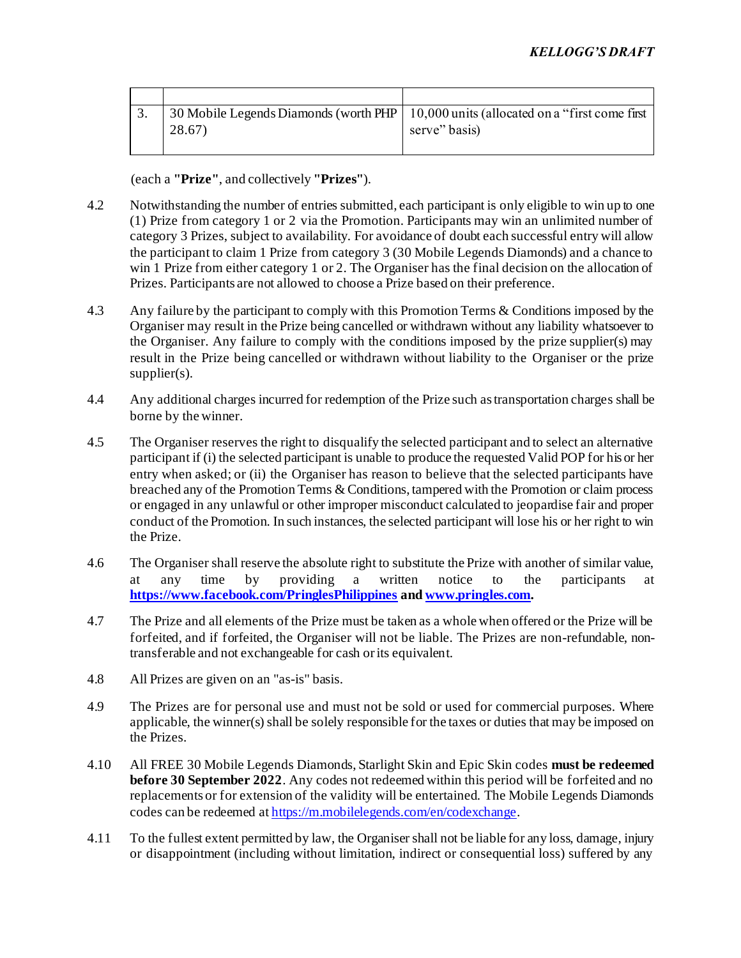|  |        | 30 Mobile Legends Diamonds (worth PHP 10,000 units (allocated on a "first come first" |
|--|--------|---------------------------------------------------------------------------------------|
|  | 28.67) | serve" basis)                                                                         |
|  |        |                                                                                       |

(each a **"Prize"**, and collectively **"Prizes"**).

- 4.2 Notwithstanding the number of entries submitted, each participant is only eligible to win up to one (1) Prize from category 1 or 2 via the Promotion. Participants may win an unlimited number of category 3 Prizes, subject to availability. For avoidance of doubt each successful entry will allow the participant to claim 1 Prize from category 3 (30 Mobile Legends Diamonds) and a chance to win 1 Prize from either category 1 or 2. The Organiser has the final decision on the allocation of Prizes. Participants are not allowed to choose a Prize based on their preference.
- 4.3 Any failure by the participant to comply with this Promotion Terms & Conditions imposed by the Organiser may result in the Prize being cancelled or withdrawn without any liability whatsoever to the Organiser. Any failure to comply with the conditions imposed by the prize supplier(s) may result in the Prize being cancelled or withdrawn without liability to the Organiser or the prize supplier(s).
- 4.4 Any additional charges incurred for redemption of the Prize such as transportation charges shall be borne by the winner.
- 4.5 The Organiser reserves the right to disqualify the selected participant and to select an alternative participant if (i) the selected participant is unable to produce the requested Valid POP for his or her entry when asked; or (ii) the Organiser has reason to believe that the selected participants have breached any of the Promotion Terms & Conditions, tampered with the Promotion or claim process or engaged in any unlawful or other improper misconduct calculated to jeopardise fair and proper conduct of the Promotion. In such instances, the selected participant will lose his or her right to win the Prize.
- 4.6 The Organiser shall reserve the absolute right to substitute the Prize with another of similar value, at any time by providing a written notice to the participants at **<https://www.facebook.com/PringlesPhilippines> an[d www.pringles.com](http://www.pringles.com/).**
- 4.7 The Prize and all elements of the Prize must be taken as a whole when offered or the Prize will be forfeited, and if forfeited, the Organiser will not be liable. The Prizes are non-refundable, nontransferable and not exchangeable for cash or its equivalent.
- 4.8 All Prizes are given on an "as-is" basis.
- 4.9 The Prizes are for personal use and must not be sold or used for commercial purposes. Where applicable, the winner(s) shall be solely responsible for the taxes or duties that may be imposed on the Prizes.
- 4.10 All FREE 30 Mobile Legends Diamonds, Starlight Skin and Epic Skin codes **must be redeemed before 30 September 2022**. Any codes not redeemed within this period will be forfeited and no replacements or for extension of the validity will be entertained. The Mobile Legends Diamonds codes can be redeemed at <https://m.mobilelegends.com/en/codexchange>.
- 4.11 To the fullest extent permitted by law, the Organiser shall not be liable for any loss, damage, injury or disappointment (including without limitation, indirect or consequential loss) suffered by any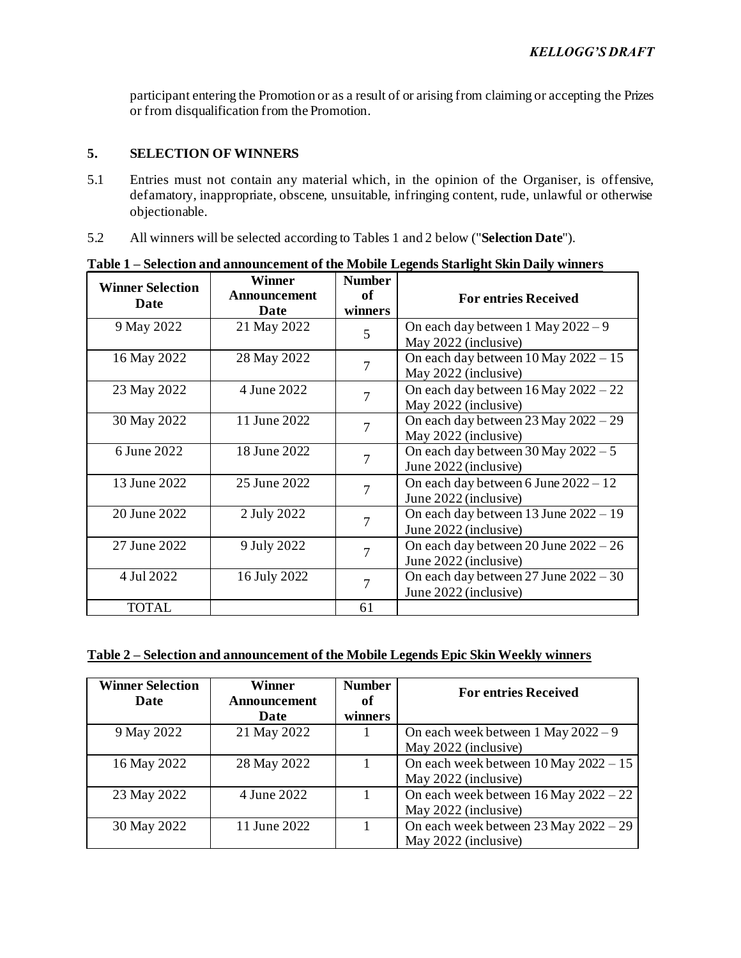participant entering the Promotion or as a result of or arising from claiming or accepting the Prizes or from disqualification from the Promotion.

#### **5. SELECTION OF WINNERS**

- 5.1 Entries must not contain any material which, in the opinion of the Organiser, is offensive, defamatory, inappropriate, obscene, unsuitable, infringing content, rude, unlawful or otherwise objectionable.
- 5.2 All winners will be selected according to Tables 1 and 2 below ("**Selection Date**").

| <b>Winner Selection</b><br>Date | Winner<br>Announcement<br>Date | <b>Number</b><br><b>of</b><br>winners | <b>For entries Received</b>                                        |
|---------------------------------|--------------------------------|---------------------------------------|--------------------------------------------------------------------|
| 9 May 2022                      | 21 May 2022                    | 5                                     | On each day between 1 May $2022 - 9$<br>May 2022 (inclusive)       |
| 16 May 2022                     | 28 May 2022                    | 7                                     | On each day between $10$ May $2022 - 15$<br>May 2022 (inclusive)   |
| 23 May 2022                     | 4 June 2022                    | 7                                     | On each day between $16$ May $2022 - 22$<br>May 2022 (inclusive)   |
| 30 May 2022                     | 11 June 2022                   | 7                                     | On each day between $23$ May $2022 - 29$<br>May 2022 (inclusive)   |
| 6 June 2022                     | 18 June 2022                   | 7                                     | On each day between $30$ May $2022 - 5$<br>June 2022 (inclusive)   |
| 13 June 2022                    | 25 June 2022                   | 7                                     | On each day between 6 June $2022 - 12$<br>June 2022 (inclusive)    |
| 20 June 2022                    | 2 July 2022                    | 7                                     | On each day between $13$ June $2022 - 19$<br>June 2022 (inclusive) |
| 27 June 2022                    | 9 July 2022                    | 7                                     | On each day between 20 June $2022 - 26$<br>June 2022 (inclusive)   |
| 4 Jul 2022                      | 16 July 2022                   |                                       | On each day between $27$ June $2022 - 30$<br>June 2022 (inclusive) |
| TOTAL                           |                                | 61                                    |                                                                    |

**Table 1 – Selection and announcement of the Mobile Legends Starlight Skin Daily winners**

# **Table 2 – Selection and announcement of the Mobile Legends Epic Skin Weekly winners**

| <b>Winner Selection</b> | Winner       | <b>Number</b> | <b>For entries Received</b>               |
|-------------------------|--------------|---------------|-------------------------------------------|
| Date                    | Announcement | оf            |                                           |
|                         | Date         | winners       |                                           |
| 9 May 2022              | 21 May 2022  |               | On each week between $1$ May $2022 - 9$   |
|                         |              |               | May 2022 (inclusive)                      |
| 16 May 2022             | 28 May 2022  |               | On each week between $10$ May $2022 - 15$ |
|                         |              |               | May 2022 (inclusive)                      |
| 23 May 2022             | 4 June 2022  |               | On each week between $16$ May $2022 - 22$ |
|                         |              |               | May 2022 (inclusive)                      |
| 30 May 2022             | 11 June 2022 |               | On each week between $23$ May $2022 - 29$ |
|                         |              |               | May 2022 (inclusive)                      |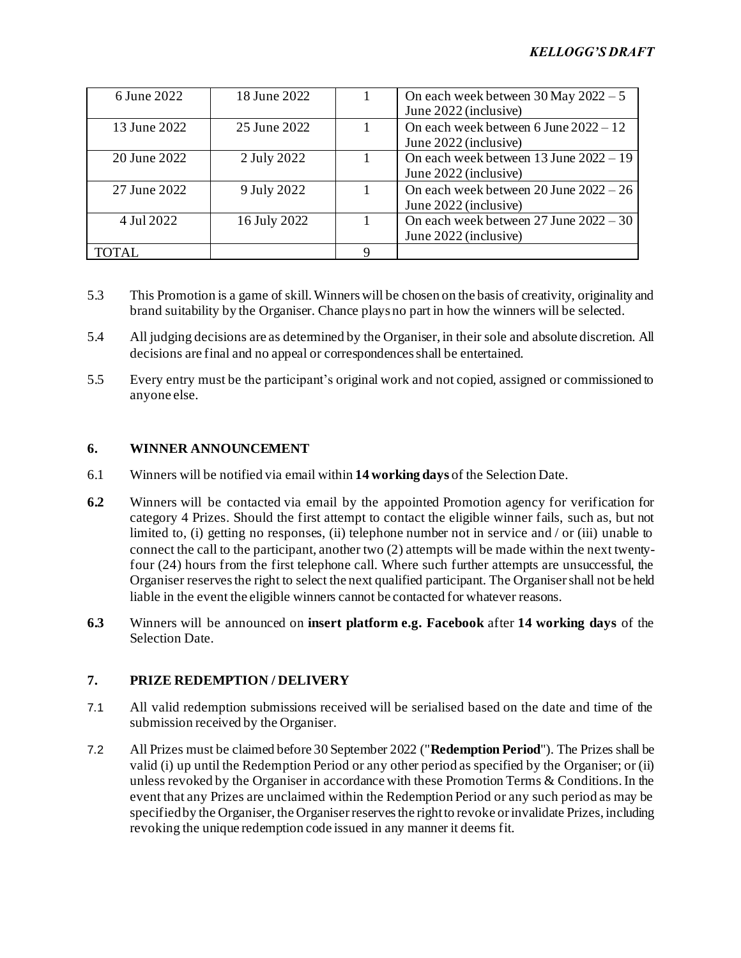| 6 June 2022  | 18 June 2022 | On each week between $30$ May $2022 - 5$<br>June 2022 (inclusive)   |
|--------------|--------------|---------------------------------------------------------------------|
| 13 June 2022 | 25 June 2022 | On each week between 6 June $2022 - 12$<br>June 2022 (inclusive)    |
| 20 June 2022 | 2 July 2022  | On each week between 13 June 2022 - 19<br>June 2022 (inclusive)     |
| 27 June 2022 | 9 July 2022  | On each week between $20$ June $2022 - 26$<br>June 2022 (inclusive) |
| 4 Jul 2022   | 16 July 2022 | On each week between $27$ June $2022 - 30$<br>June 2022 (inclusive) |
| TOTAL        |              |                                                                     |

- 5.3 This Promotion is a game of skill. Winners will be chosen on the basis of creativity, originality and brand suitability by the Organiser. Chance plays no part in how the winners will be selected.
- 5.4 All judging decisions are as determined by the Organiser, in their sole and absolute discretion. All decisions are final and no appeal or correspondences shall be entertained.
- 5.5 Every entry must be the participant's original work and not copied, assigned or commissioned to anyone else.

## **6. WINNER ANNOUNCEMENT**

- 6.1 Winners will be notified via email within **14 working days** of the Selection Date.
- **6.2** Winners will be contacted via email by the appointed Promotion agency for verification for category 4 Prizes. Should the first attempt to contact the eligible winner fails, such as, but not limited to, (i) getting no responses, (ii) telephone number not in service and / or (iii) unable to connect the call to the participant, another two (2) attempts will be made within the next twentyfour (24) hours from the first telephone call. Where such further attempts are unsuccessful, the Organiser reserves the right to select the next qualified participant. The Organisershall not be held liable in the event the eligible winners cannot be contacted for whatever reasons.
- **6.3** Winners will be announced on **insert platform e.g. Facebook** after **14 working days** of the Selection Date.

#### **7. PRIZE REDEMPTION / DELIVERY**

- 7.1 All valid redemption submissions received will be serialised based on the date and time of the submission received by the Organiser.
- 7.2 All Prizes must be claimed before 30 September 2022 ("**Redemption Period**"). The Prizes shall be valid (i) up until the Redemption Period or any other period as specified by the Organiser; or (ii) unless revoked by the Organiser in accordance with these Promotion Terms & Conditions. In the event that any Prizes are unclaimed within the Redemption Period or any such period as may be specified by the Organiser, the Organiser reserves the right to revoke or invalidate Prizes, including revoking the unique redemption code issued in any manner it deems fit.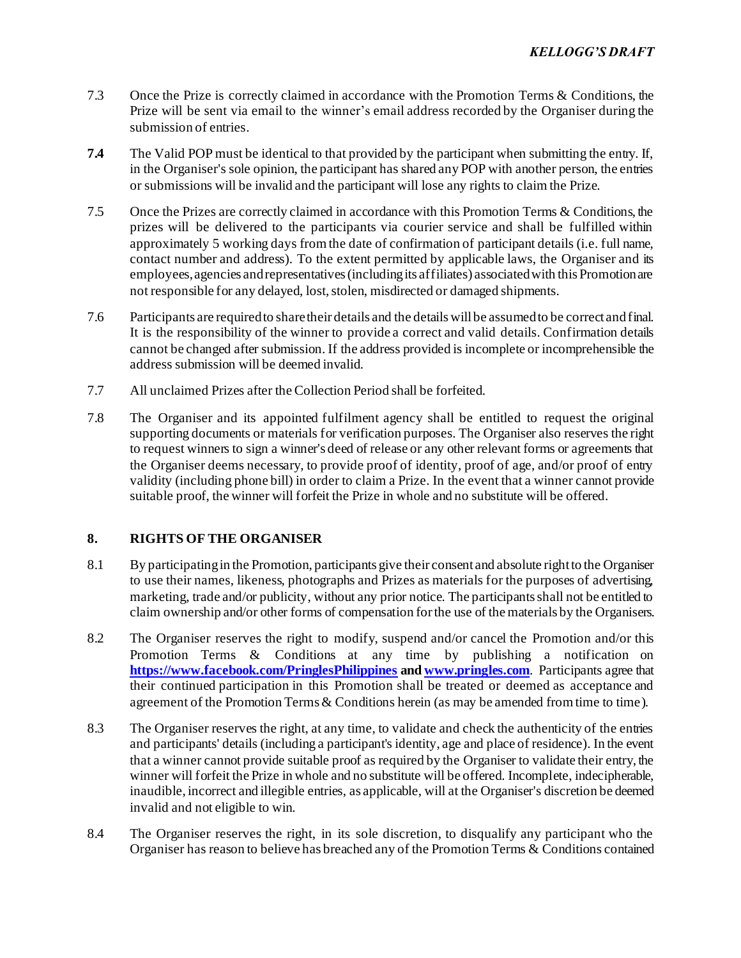- 7.3 Once the Prize is correctly claimed in accordance with the Promotion Terms & Conditions, the Prize will be sent via email to the winner's email address recorded by the Organiser during the submission of entries.
- **7.4** The Valid POP must be identical to that provided by the participant when submitting the entry. If, in the Organiser's sole opinion, the participant has shared any POP with another person, the entries or submissions will be invalid and the participant will lose any rights to claim the Prize.
- 7.5 Once the Prizes are correctly claimed in accordance with this Promotion Terms & Conditions, the prizes will be delivered to the participants via courier service and shall be fulfilled within approximately 5 working days from the date of confirmation of participant details (i.e. full name, contact number and address). To the extent permitted by applicable laws, the Organiser and its employees, agencies and representatives (including its affiliates) associated with this Promotion are not responsible for any delayed, lost, stolen, misdirected or damaged shipments.
- 7.6 Participants are required to share their details and the details will be assumed to be correct and final. It is the responsibility of the winner to provide a correct and valid details. Confirmation details cannot be changed after submission. If the address provided is incomplete or incomprehensible the address submission will be deemed invalid.
- 7.7 All unclaimed Prizes after the Collection Period shall be forfeited.
- 7.8 The Organiser and its appointed fulfilment agency shall be entitled to request the original supporting documents or materials for verification purposes. The Organiser also reserves the right to request winners to sign a winner's deed of release or any other relevant forms or agreements that the Organiser deems necessary, to provide proof of identity, proof of age, and/or proof of entry validity (including phone bill) in order to claim a Prize. In the event that a winner cannot provide suitable proof, the winner will forfeit the Prize in whole and no substitute will be offered.

# **8. RIGHTS OF THE ORGANISER**

- 8.1 By participating in the Promotion, participants give their consent and absolute right to the Organiser to use their names, likeness, photographs and Prizes as materials for the purposes of advertising, marketing, trade and/or publicity, without any prior notice. The participants shall not be entitled to claim ownership and/or other forms of compensation for the use of the materials by the Organisers.
- 8.2 The Organiser reserves the right to modify, suspend and/or cancel the Promotion and/or this Promotion Terms & Conditions at any time by publishing a notification on **<https://www.facebook.com/PringlesPhilippines> an[d www.pringles.com](http://www.pringles.com/)**. Participants agree that their continued participation in this Promotion shall be treated or deemed as acceptance and agreement of the Promotion Terms & Conditions herein (as may be amended from time to time).
- 8.3 The Organiser reserves the right, at any time, to validate and check the authenticity of the entries and participants' details (including a participant's identity, age and place of residence). In the event that a winner cannot provide suitable proof as required by the Organiser to validate their entry, the winner will forfeit the Prize in whole and no substitute will be offered. Incomplete, indecipherable, inaudible, incorrect and illegible entries, as applicable, will at the Organiser's discretion be deemed invalid and not eligible to win.
- 8.4 The Organiser reserves the right, in its sole discretion, to disqualify any participant who the Organiser has reason to believe has breached any of the Promotion Terms & Conditions contained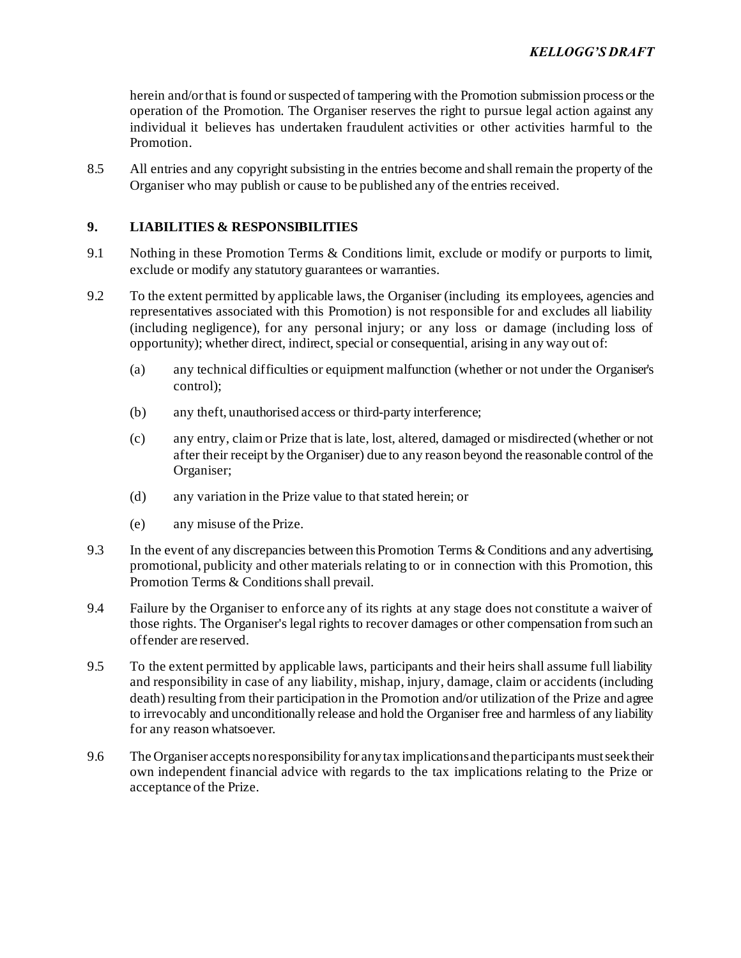herein and/or that is found or suspected of tampering with the Promotion submission process or the operation of the Promotion. The Organiser reserves the right to pursue legal action against any individual it believes has undertaken fraudulent activities or other activities harmful to the Promotion.

8.5 All entries and any copyright subsisting in the entries become and shall remain the property of the Organiser who may publish or cause to be published any of the entries received.

## **9. LIABILITIES & RESPONSIBILITIES**

- 9.1 Nothing in these Promotion Terms & Conditions limit, exclude or modify or purports to limit, exclude or modify any statutory guarantees or warranties.
- 9.2 To the extent permitted by applicable laws, the Organiser (including its employees, agencies and representatives associated with this Promotion) is not responsible for and excludes all liability (including negligence), for any personal injury; or any loss or damage (including loss of opportunity); whether direct, indirect, special or consequential, arising in any way out of:
	- (a) any technical difficulties or equipment malfunction (whether or not under the Organiser's control);
	- (b) any theft, unauthorised access or third-party interference;
	- (c) any entry, claim or Prize that is late, lost, altered, damaged or misdirected (whether or not after their receipt by the Organiser) due to any reason beyond the reasonable control of the Organiser;
	- (d) any variation in the Prize value to that stated herein; or
	- (e) any misuse of the Prize.
- 9.3 In the event of any discrepancies between this Promotion Terms & Conditions and any advertising, promotional, publicity and other materials relating to or in connection with this Promotion, this Promotion Terms & Conditions shall prevail.
- 9.4 Failure by the Organiser to enforce any of its rights at any stage does not constitute a waiver of those rights. The Organiser's legal rights to recover damages or other compensation from such an offender are reserved.
- 9.5 To the extent permitted by applicable laws, participants and their heirs shall assume full liability and responsibility in case of any liability, mishap, injury, damage, claim or accidents (including death) resulting from their participation in the Promotion and/or utilization of the Prize and agree to irrevocably and unconditionally release and hold the Organiser free and harmless of any liability for any reason whatsoever.
- 9.6 The Organiser accepts no responsibility for any tax implications and the participants must seek their own independent financial advice with regards to the tax implications relating to the Prize or acceptance of the Prize.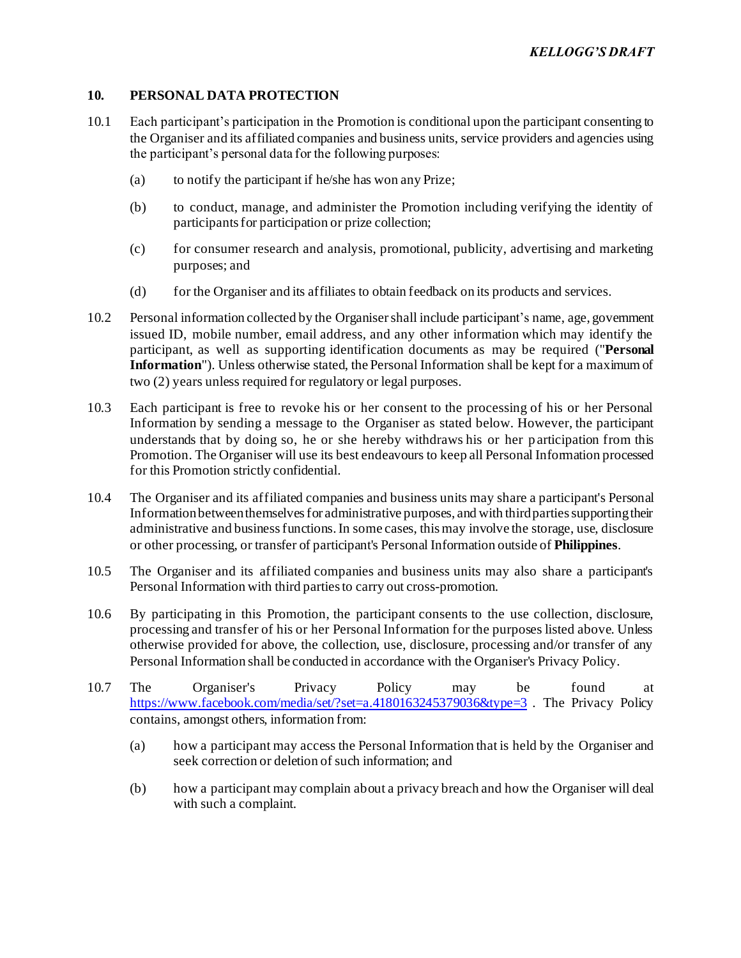#### **10. PERSONAL DATA PROTECTION**

- 10.1 Each participant's participation in the Promotion is conditional upon the participant consenting to the Organiser and its affiliated companies and business units, service providers and agencies using the participant's personal data for the following purposes:
	- (a) to notify the participant if he/she has won any Prize;
	- (b) to conduct, manage, and administer the Promotion including verifying the identity of participants for participation or prize collection;
	- (c) for consumer research and analysis, promotional, publicity, advertising and marketing purposes; and
	- (d) for the Organiser and its affiliates to obtain feedback on its products and services.
- 10.2 Personal information collected by the Organisershall include participant's name, age, government issued ID, mobile number, email address, and any other information which may identify the participant, as well as supporting identification documents as may be required ("**Personal Information**"). Unless otherwise stated, the Personal Information shall be kept for a maximum of two (2) years unless required for regulatory or legal purposes.
- 10.3 Each participant is free to revoke his or her consent to the processing of his or her Personal Information by sending a message to the Organiser as stated below. However, the participant understands that by doing so, he or she hereby withdraws his or her participation from this Promotion. The Organiser will use its best endeavours to keep all Personal Information processed for this Promotion strictly confidential.
- 10.4 The Organiser and its affiliated companies and business units may share a participant's Personal Information between themselves for administrative purposes, and with third parties supporting their administrative and business functions. In some cases, this may involve the storage, use, disclosure or other processing, or transfer of participant's Personal Information outside of **Philippines**.
- 10.5 The Organiser and its affiliated companies and business units may also share a participant's Personal Information with third parties to carry out cross-promotion.
- 10.6 By participating in this Promotion, the participant consents to the use collection, disclosure, processing and transfer of his or her Personal Information for the purposes listed above. Unless otherwise provided for above, the collection, use, disclosure, processing and/or transfer of any Personal Information shall be conducted in accordance with the Organiser's Privacy Policy.
- 10.7 The Organiser's Privacy Policy may be found at <https://www.facebook.com/media/set/?set=a.4180163245379036&type=3> . The Privacy Policy contains, amongst others, information from:
	- (a) how a participant may access the Personal Information that is held by the Organiser and seek correction or deletion of such information; and
	- (b) how a participant may complain about a privacy breach and how the Organiser will deal with such a complaint.